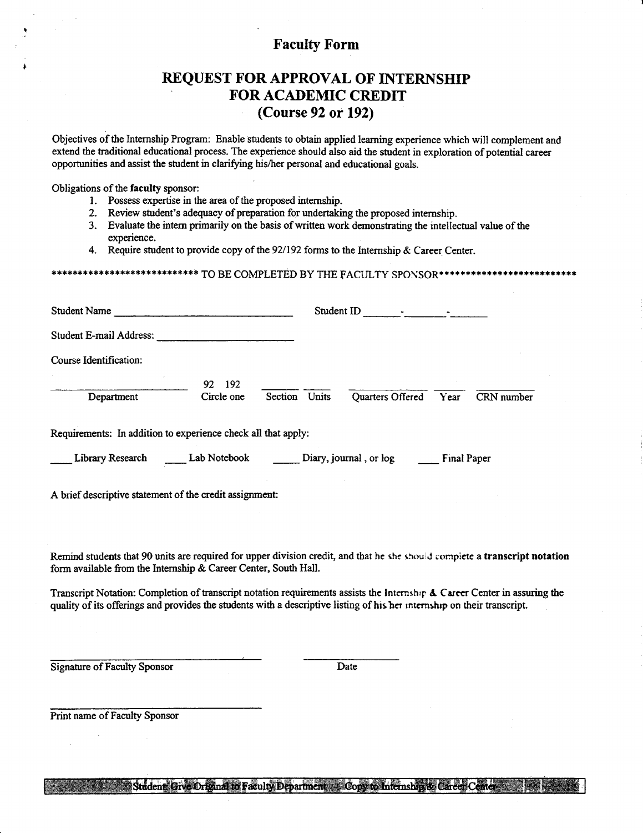#### Faculty Form

### REQUEST FOR APPROVAL OF INTERNSHIP FOR ACADEMIC CREDIT (Course 92 or 192)

Objectives of the Internship Program: Enable students to obtain applied learning experience which will complement and extend the traditional educational process. The experience should also aid the student in exploration of potential career opportunities and assist the student in clarifying his/her personal and educational goals.

Obligations of the faculty sponsor:

- 1. Possess expertise in the area of the proposed internship.
- 2- Review student's adequacy of preparation for underaking the proposed intemship.
- 3. Evaluate the intern primarily on the basis ofwritten work dernonstrating the intellectual value of the experience.
- 

4. Require student to provide copy of the 92/192 forms to the Internship & Career Center.<br>\*\*\*\*\*\*\*\*\*\*\*\*\*\*\*\*\*\*\*\*\*\*\*\* TO BE COMPLETED BY THE FACULTY SPONSOR\*\*\*\*\*\*\*\*\*\*\*\*\*\*\*\*\*\*\*\*\*\*\*\*\*\*\*\*

| <b>Student Name</b>                                           | Student ID               |               |  |                        |             |            |  |
|---------------------------------------------------------------|--------------------------|---------------|--|------------------------|-------------|------------|--|
| Student E-mail Address:                                       |                          |               |  |                        |             |            |  |
| Course Identification:                                        |                          |               |  |                        |             |            |  |
| Department                                                    | 192<br>92.<br>Circle one | Section Units |  | Quarters Offered       | Year        | CRN number |  |
| Requirements: In addition to experience check all that apply: |                          |               |  |                        |             |            |  |
| Library Research                                              | Lab Notebook             |               |  | Diary, journal, or log | Final Paper |            |  |
| A brief descriptive statement of the credit assignment:       |                          |               |  |                        |             |            |  |

Remind students that 90 units are required for upper division credit, and that he she should complete a transcript notation form available from the Internship & Career Center, South Hall.

Transcript Notation: Completion of transcript notation requirements assists the Internship  $\Delta$  Career Center in assuring the quality of its offerings and provides the students with a descriptive listing of his her internship on their transcript.

Signature of Faculty Sponsor Date

Print name of Faculty Sponsor

Student Give Original to Faculty Department Copy to Internship & Career Center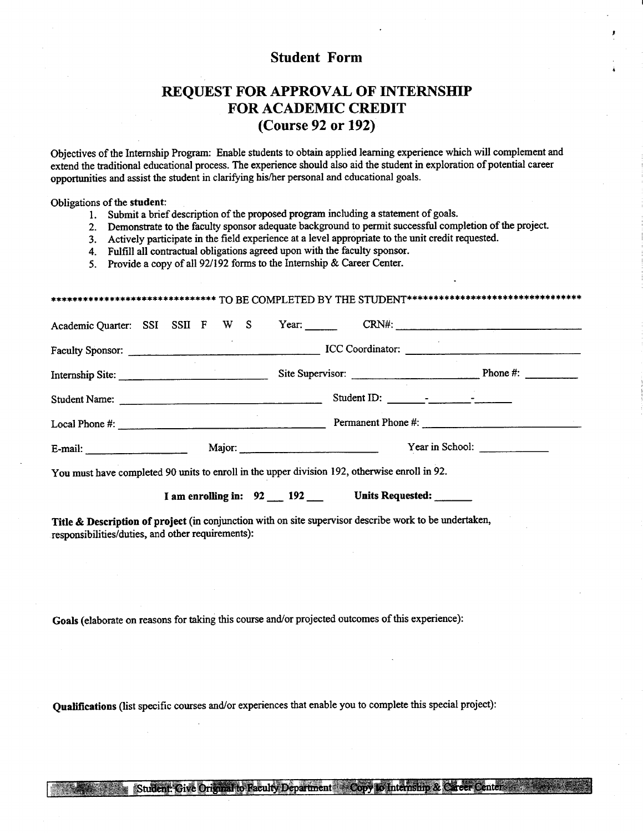#### **Student Form**

### REQUEST FOR APPROVAL OF INTERNSHIP **FOR ACADEMIC CREDIT** (Course 92 or 192)

Objectives of the Internship Program: Enable students to obtain applied learning experience which will complement and extend the traditional educational process. The experience should also aid the student in exploration of potential career opportunities and assist the student in clarifying his/her personal and educational goals.

Obligations of the student:

- 1. Submit a brief description of the proposed program including a statement of goals.
- 2. Demonstrate to the faculty sponsor adequate background to permit successful completion of the project.
- 3. Actively participate in the field experience at a level appropriate to the unit credit requested.
- 4. Fulfill all contractual obligations agreed upon with the faculty sponsor.

5. Provide a copy of all 92/192 forms to the Internship & Career Center.

|                                                                                               |                                                                      |  |  |  |                                                        |  | Academic Quarter: SSI SSII F W S Year: CRN#: CRN#: |  |
|-----------------------------------------------------------------------------------------------|----------------------------------------------------------------------|--|--|--|--------------------------------------------------------|--|----------------------------------------------------|--|
|                                                                                               |                                                                      |  |  |  |                                                        |  |                                                    |  |
|                                                                                               | Internship Site: Site Supervisor: Site Supervisor: Phone #: Phone #: |  |  |  |                                                        |  |                                                    |  |
| Student Name:                                                                                 |                                                                      |  |  |  |                                                        |  |                                                    |  |
|                                                                                               |                                                                      |  |  |  |                                                        |  |                                                    |  |
| E-mail: Major: Major:                                                                         |                                                                      |  |  |  |                                                        |  | Year in School:                                    |  |
| You must have completed 90 units to enroll in the upper division 192, otherwise enroll in 92. |                                                                      |  |  |  |                                                        |  |                                                    |  |
|                                                                                               |                                                                      |  |  |  | I am enrolling in: 92 __ 192 __ Units Requested: _____ |  |                                                    |  |

Title & Description of project (in conjunction with on site supervisor describe work to be undertaken, responsibilities/duties, and other requirements):

Goals (elaborate on reasons for taking this course and/or projected outcomes of this experience):

Oualifications (list specific courses and/or experiences that enable you to complete this special project):

Student: Give Original to Faculty Department Copy to Internsion & Career Center